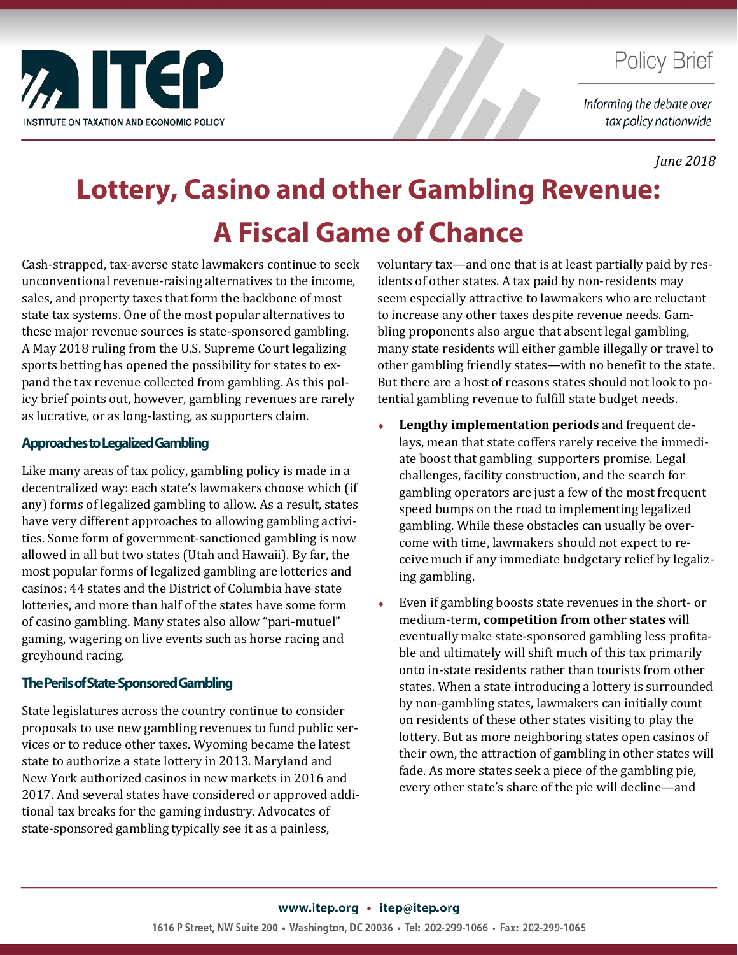

### **Policy Brief**

Informing the debate over tax policy nationwide

*June 2018*

# **Lottery, Casino and other Gambling Revenue: A Fiscal Game of Chance**

Cash-strapped, tax-averse state lawmakers continue to seek unconventional revenue-raising alternatives to the income, sales, and property taxes that form the backbone of most state tax systems. One of the most popular alternatives to these major revenue sources is state-sponsored gambling. A May 2018 ruling from the U.S. Supreme Court legalizing sports betting has opened the possibility for states to expand the tax revenue collected from gambling. As this policy brief points out, however, gambling revenues are rarely as lucrative, or as long-lasting, as supporters claim.

#### **Approaches to Legalized Gambling**

Like many areas of tax policy, gambling policy is made in a decentralized way: each state's lawmakers choose which (if any) forms of legalized gambling to allow. As a result, states have very different approaches to allowing gambling activities. Some form of government-sanctioned gambling is now allowed in all but two states (Utah and Hawaii). By far, the most popular forms of legalized gambling are lotteries and casinos: 44 states and the District of Columbia have state lotteries, and more than half of the states have some form of casino gambling. Many states also allow "pari-mutuel" gaming, wagering on live events such as horse racing and greyhound racing.

### **The Perils of State-Sponsored Gambling**

State legislatures across the country continue to consider proposals to use new gambling revenues to fund public services or to reduce other taxes. Wyoming became the latest state to authorize a state lottery in 2013. Maryland and New York authorized casinos in new markets in 2016 and 2017. And several states have considered or approved additional tax breaks for the gaming industry. Advocates of state-sponsored gambling typically see it as a painless,

voluntary tax—and one that is at least partially paid by residents of other states. A tax paid by non-residents may seem especially attractive to lawmakers who are reluctant to increase any other taxes despite revenue needs. Gambling proponents also argue that absent legal gambling, many state residents will either gamble illegally or travel to other gambling friendly states—with no benefit to the state. But there are a host of reasons states should not look to potential gambling revenue to fulfill state budget needs.

- ♦ **Lengthy implementation periods** and frequent delays, mean that state coffers rarely receive the immediate boost that gambling supporters promise. Legal challenges, facility construction, and the search for gambling operators are just a few of the most frequent speed bumps on the road to implementing legalized gambling. While these obstacles can usually be overcome with time, lawmakers should not expect to receive much if any immediate budgetary relief by legalizing gambling.
- ♦ Even if gambling boosts state revenues in the short- or medium-term, **competition from other states** will eventually make state-sponsored gambling less profitable and ultimately will shift much of this tax primarily onto in-state residents rather than tourists from other states. When a state introducing a lottery is surrounded by non-gambling states, lawmakers can initially count on residents of these other states visiting to play the lottery. But as more neighboring states open casinos of their own, the attraction of gambling in other states will fade. As more states seek a piece of the gambling pie, every other state's share of the pie will decline—and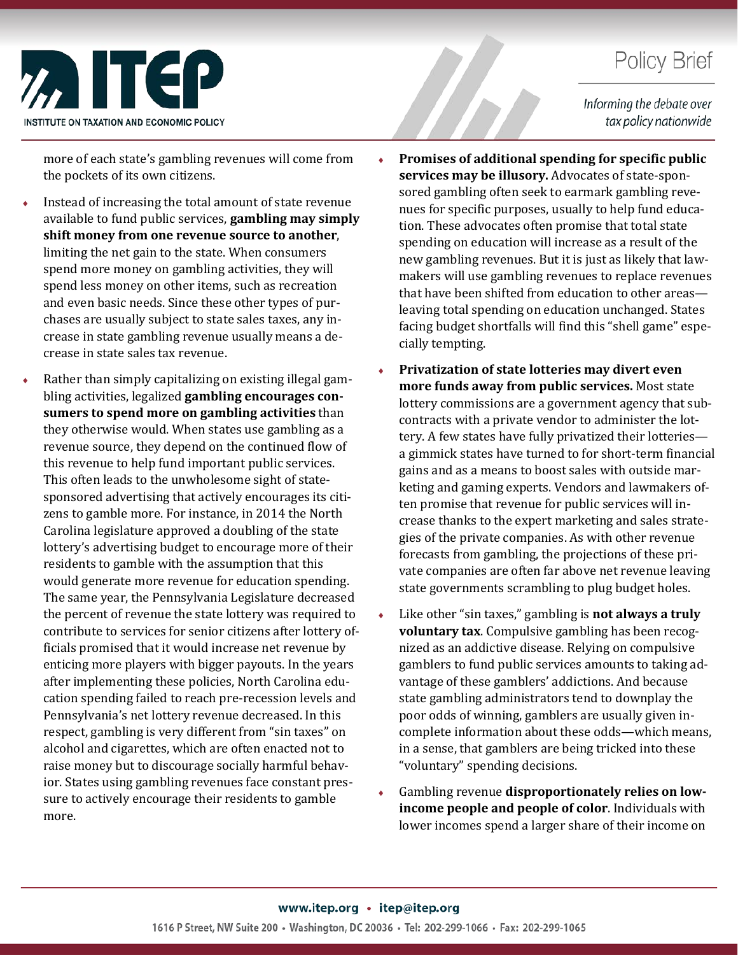## **Policy Brief**



Informing the debate over tax policy nationwide

more of each state's gambling revenues will come from the pockets of its own citizens.

- Instead of increasing the total amount of state revenue available to fund public services, **gambling may simply shift money from one revenue source to another**, limiting the net gain to the state. When consumers spend more money on gambling activities, they will spend less money on other items, such as recreation and even basic needs. Since these other types of purchases are usually subject to state sales taxes, any increase in state gambling revenue usually means a decrease in state sales tax revenue.
- Rather than simply capitalizing on existing illegal gambling activities, legalized **gambling encourages consumers to spend more on gambling activities** than they otherwise would. When states use gambling as a revenue source, they depend on the continued flow of this revenue to help fund important public services. This often leads to the unwholesome sight of statesponsored advertising that actively encourages its citizens to gamble more. For instance, in 2014 the North Carolina legislature approved a doubling of the state lottery's advertising budget to encourage more of their residents to gamble with the assumption that this would generate more revenue for education spending. The same year, the Pennsylvania Legislature decreased the percent of revenue the state lottery was required to contribute to services for senior citizens after lottery officials promised that it would increase net revenue by enticing more players with bigger payouts. In the years after implementing these policies, North Carolina education spending failed to reach pre-recession levels and Pennsylvania's net lottery revenue decreased. In this respect, gambling is very different from "sin taxes" on alcohol and cigarettes, which are often enacted not to raise money but to discourage socially harmful behavior. States using gambling revenues face constant pressure to actively encourage their residents to gamble more.
- ♦ **Promises of additional spending for specific public services may be illusory.** Advocates of state-sponsored gambling often seek to earmark gambling revenues for specific purposes, usually to help fund education. These advocates often promise that total state spending on education will increase as a result of the new gambling revenues. But it is just as likely that lawmakers will use gambling revenues to replace revenues that have been shifted from education to other areas leaving total spending on education unchanged. States facing budget shortfalls will find this "shell game" especially tempting.
- ♦ **Privatization of state lotteries may divert even more funds away from public services.** Most state lottery commissions are a government agency that subcontracts with a private vendor to administer the lottery. A few states have fully privatized their lotteries a gimmick states have turned to for short-term financial gains and as a means to boost sales with outside marketing and gaming experts. Vendors and lawmakers often promise that revenue for public services will increase thanks to the expert marketing and sales strategies of the private companies. As with other revenue forecasts from gambling, the projections of these private companies are often far above net revenue leaving state governments scrambling to plug budget holes.
- Like other "sin taxes," gambling is **not always a truly voluntary tax**. Compulsive gambling has been recognized as an addictive disease. Relying on compulsive gamblers to fund public services amounts to taking advantage of these gamblers' addictions. And because state gambling administrators tend to downplay the poor odds of winning, gamblers are usually given incomplete information about these odds—which means, in a sense, that gamblers are being tricked into these "voluntary" spending decisions.
- Gambling revenue disproportionately relies on low**income people and people of color**. Individuals with lower incomes spend a larger share of their income on